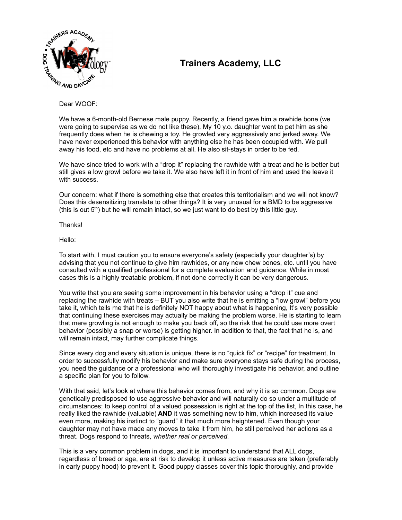

## **Trainers Academy, LLC**

Dear WOOF:

We have a 6-month-old Bernese male puppy. Recently, a friend gave him a rawhide bone (we were going to supervise as we do not like these). My 10 y.o. daughter went to pet him as she frequently does when he is chewing a toy. He growled very aggressively and jerked away. We have never experienced this behavior with anything else he has been occupied with. We pull away his food, etc and have no problems at all. He also sit-stays in order to be fed.

We have since tried to work with a "drop it" replacing the rawhide with a treat and he is better but still gives a low growl before we take it. We also have left it in front of him and used the leave it with success.

Our concern: what if there is something else that creates this territorialism and we will not know? Does this desensitizing translate to other things? It is very unusual for a BMD to be aggressive (this is out  $5<sup>th</sup>$ ) but he will remain intact, so we just want to do best by this little guy.

Thanks!

Hello:

To start with, I must caution you to ensure everyone's safety (especially your daughter's) by advising that you not continue to give him rawhides, or any new chew bones, etc. until you have consulted with a qualified professional for a complete evaluation and guidance. While in most cases this is a highly treatable problem, if not done correctly it can be very dangerous.

You write that you are seeing some improvement in his behavior using a "drop it" cue and replacing the rawhide with treats – BUT you also write that he is emitting a "low growl" before you take it, which tells me that he is definitely NOT happy about what is happening, It's very possible that continuing these exercises may actually be making the problem worse. He is starting to learn that mere growling is not enough to make you back off, so the risk that he could use more overt behavior (possibly a snap or worse) is getting higher. In addition to that, the fact that he is, and will remain intact, may further complicate things.

Since every dog and every situation is unique, there is no "quick fix" or "recipe" for treatment, In order to successfully modify his behavior and make sure everyone stays safe during the process, you need the guidance or a professional who will thoroughly investigate his behavior, and outline a specific plan for you to follow.

With that said, let's look at where this behavior comes from, and why it is so common. Dogs are genetically predisposed to use aggressive behavior and will naturally do so under a multitude of circumstances; to keep control of a valued possession is right at the top of the list, In this case, he really liked the rawhide (valuable) **AND** it was something new to him, which increased its value even more, making his instinct to "guard" it that much more heightened. Even though your daughter may not have made any moves to take it from him, he still perceived her actions as a threat. Dogs respond to threats, *whether real or perceived.*

This is a very common problem in dogs, and it is important to understand that ALL dogs, regardless of breed or age, are at risk to develop it unless active measures are taken (preferably in early puppy hood) to prevent it. Good puppy classes cover this topic thoroughly, and provide